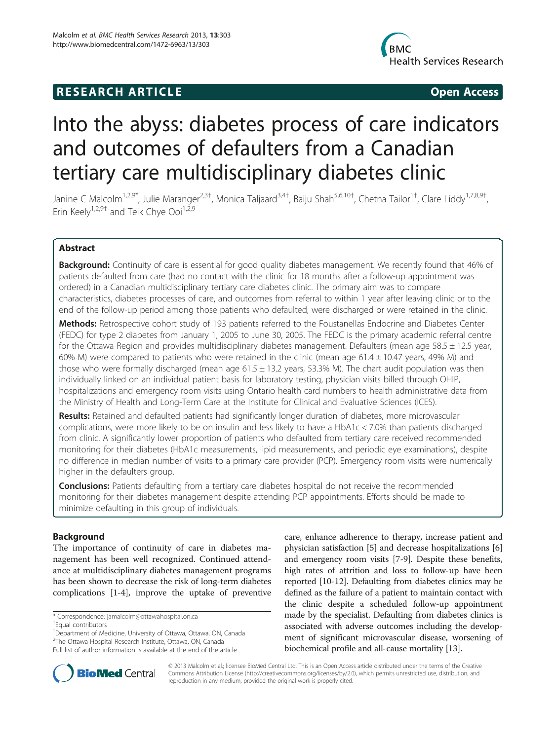## R E S EAR CH A R TIC L E Open Access



# Into the abyss: diabetes process of care indicators and outcomes of defaulters from a Canadian tertiary care multidisciplinary diabetes clinic

Janine C Malcolm<sup>1,2,9\*</sup>, Julie Maranger<sup>2,3†</sup>, Monica Taljaard<sup>3,4†</sup>, Baiju Shah<sup>5,6,10†</sup>, Chetna Tailor<sup>1†</sup>, Clare Liddy<sup>1,7,8,9†</sup> , Erin Keely<sup>1,2,9†</sup> and Teik Chye Ooi<sup>1,2,9</sup>

## Abstract

Background: Continuity of care is essential for good quality diabetes management. We recently found that 46% of patients defaulted from care (had no contact with the clinic for 18 months after a follow-up appointment was ordered) in a Canadian multidisciplinary tertiary care diabetes clinic. The primary aim was to compare characteristics, diabetes processes of care, and outcomes from referral to within 1 year after leaving clinic or to the end of the follow-up period among those patients who defaulted, were discharged or were retained in the clinic.

Methods: Retrospective cohort study of 193 patients referred to the Foustanellas Endocrine and Diabetes Center (FEDC) for type 2 diabetes from January 1, 2005 to June 30, 2005. The FEDC is the primary academic referral centre for the Ottawa Region and provides multidisciplinary diabetes management. Defaulters (mean age  $58.5 \pm 12.5$  year, 60% M) were compared to patients who were retained in the clinic (mean age 61.4 ± 10.47 years, 49% M) and those who were formally discharged (mean age 61.5 ± 13.2 years, 53.3% M). The chart audit population was then individually linked on an individual patient basis for laboratory testing, physician visits billed through OHIP, hospitalizations and emergency room visits using Ontario health card numbers to health administrative data from the Ministry of Health and Long-Term Care at the Institute for Clinical and Evaluative Sciences (ICES).

Results: Retained and defaulted patients had significantly longer duration of diabetes, more microvascular complications, were more likely to be on insulin and less likely to have a HbA1c < 7.0% than patients discharged from clinic. A significantly lower proportion of patients who defaulted from tertiary care received recommended monitoring for their diabetes (HbA1c measurements, lipid measurements, and periodic eye examinations), despite no difference in median number of visits to a primary care provider (PCP). Emergency room visits were numerically higher in the defaulters group.

**Conclusions:** Patients defaulting from a tertiary care diabetes hospital do not receive the recommended monitoring for their diabetes management despite attending PCP appointments. Efforts should be made to minimize defaulting in this group of individuals.

## Background

The importance of continuity of care in diabetes management has been well recognized. Continued attendance at multidisciplinary diabetes management programs has been shown to decrease the risk of long-term diabetes complications [\[1](#page-7-0)-[4](#page-7-0)], improve the uptake of preventive

\* Correspondence: [jamalcolm@ottawahospital.on.ca](mailto:jamalcolm@ottawahospital.on.ca) †

Equal contributors

<sup>1</sup> Department of Medicine, University of Ottawa, Ottawa, ON, Canada <sup>2</sup>The Ottawa Hospital Research Institute, Ottawa, ON, Canada

care, enhance adherence to therapy, increase patient and physician satisfaction [[5\]](#page-7-0) and decrease hospitalizations [[6](#page-7-0)] and emergency room visits [[7-9](#page-7-0)]. Despite these benefits, high rates of attrition and loss to follow-up have been reported [\[10](#page-7-0)-[12](#page-7-0)]. Defaulting from diabetes clinics may be defined as the failure of a patient to maintain contact with the clinic despite a scheduled follow-up appointment made by the specialist. Defaulting from diabetes clinics is associated with adverse outcomes including the development of significant microvascular disease, worsening of biochemical profile and all-cause mortality [[13](#page-7-0)].



© 2013 Malcolm et al.; licensee BioMed Central Ltd. This is an Open Access article distributed under the terms of the Creative Commons Attribution License [\(http://creativecommons.org/licenses/by/2.0\)](http://creativecommons.org/licenses/by/2.0), which permits unrestricted use, distribution, and reproduction in any medium, provided the original work is properly cited.

Full list of author information is available at the end of the article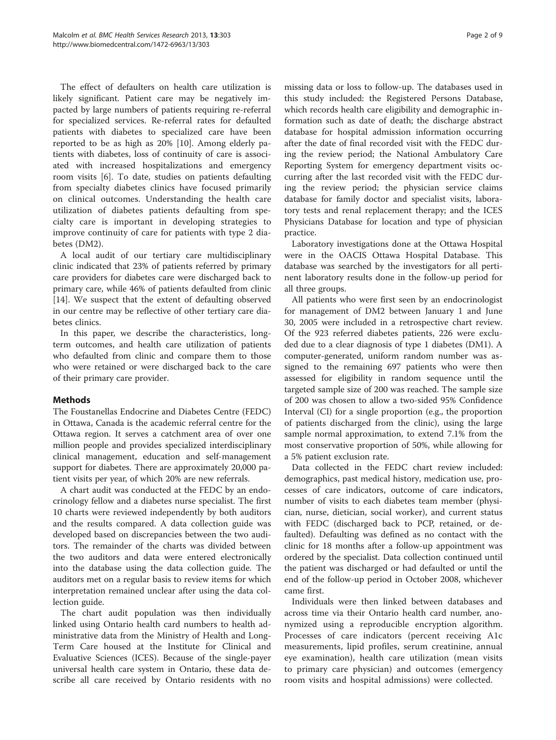The effect of defaulters on health care utilization is likely significant. Patient care may be negatively impacted by large numbers of patients requiring re-referral for specialized services. Re-referral rates for defaulted patients with diabetes to specialized care have been reported to be as high as 20% [\[10](#page-7-0)]. Among elderly patients with diabetes, loss of continuity of care is associated with increased hospitalizations and emergency room visits [\[6](#page-7-0)]. To date, studies on patients defaulting from specialty diabetes clinics have focused primarily on clinical outcomes. Understanding the health care utilization of diabetes patients defaulting from specialty care is important in developing strategies to improve continuity of care for patients with type 2 diabetes (DM2).

A local audit of our tertiary care multidisciplinary clinic indicated that 23% of patients referred by primary care providers for diabetes care were discharged back to primary care, while 46% of patients defaulted from clinic [[14\]](#page-7-0). We suspect that the extent of defaulting observed in our centre may be reflective of other tertiary care diabetes clinics.

In this paper, we describe the characteristics, longterm outcomes, and health care utilization of patients who defaulted from clinic and compare them to those who were retained or were discharged back to the care of their primary care provider.

## Methods

The Foustanellas Endocrine and Diabetes Centre (FEDC) in Ottawa, Canada is the academic referral centre for the Ottawa region. It serves a catchment area of over one million people and provides specialized interdisciplinary clinical management, education and self-management support for diabetes. There are approximately 20,000 patient visits per year, of which 20% are new referrals.

A chart audit was conducted at the FEDC by an endocrinology fellow and a diabetes nurse specialist. The first 10 charts were reviewed independently by both auditors and the results compared. A data collection guide was developed based on discrepancies between the two auditors. The remainder of the charts was divided between the two auditors and data were entered electronically into the database using the data collection guide. The auditors met on a regular basis to review items for which interpretation remained unclear after using the data collection guide.

The chart audit population was then individually linked using Ontario health card numbers to health administrative data from the Ministry of Health and Long-Term Care housed at the Institute for Clinical and Evaluative Sciences (ICES). Because of the single-payer universal health care system in Ontario, these data describe all care received by Ontario residents with no

missing data or loss to follow-up. The databases used in this study included: the Registered Persons Database, which records health care eligibility and demographic information such as date of death; the discharge abstract database for hospital admission information occurring after the date of final recorded visit with the FEDC during the review period; the National Ambulatory Care Reporting System for emergency department visits occurring after the last recorded visit with the FEDC during the review period; the physician service claims database for family doctor and specialist visits, laboratory tests and renal replacement therapy; and the ICES Physicians Database for location and type of physician practice.

Laboratory investigations done at the Ottawa Hospital were in the OACIS Ottawa Hospital Database. This database was searched by the investigators for all pertinent laboratory results done in the follow-up period for all three groups.

All patients who were first seen by an endocrinologist for management of DM2 between January 1 and June 30, 2005 were included in a retrospective chart review. Of the 923 referred diabetes patients, 226 were excluded due to a clear diagnosis of type 1 diabetes (DM1). A computer-generated, uniform random number was assigned to the remaining 697 patients who were then assessed for eligibility in random sequence until the targeted sample size of 200 was reached. The sample size of 200 was chosen to allow a two-sided 95% Confidence Interval (CI) for a single proportion (e.g., the proportion of patients discharged from the clinic), using the large sample normal approximation, to extend 7.1% from the most conservative proportion of 50%, while allowing for a 5% patient exclusion rate.

Data collected in the FEDC chart review included: demographics, past medical history, medication use, processes of care indicators, outcome of care indicators, number of visits to each diabetes team member (physician, nurse, dietician, social worker), and current status with FEDC (discharged back to PCP, retained, or defaulted). Defaulting was defined as no contact with the clinic for 18 months after a follow-up appointment was ordered by the specialist. Data collection continued until the patient was discharged or had defaulted or until the end of the follow-up period in October 2008, whichever came first.

Individuals were then linked between databases and across time via their Ontario health card number, anonymized using a reproducible encryption algorithm. Processes of care indicators (percent receiving A1c measurements, lipid profiles, serum creatinine, annual eye examination), health care utilization (mean visits to primary care physician) and outcomes (emergency room visits and hospital admissions) were collected.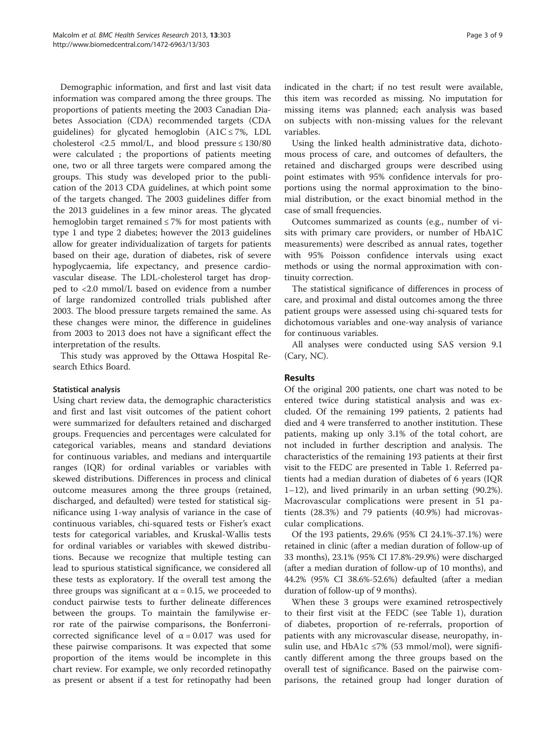Demographic information, and first and last visit data information was compared among the three groups. The proportions of patients meeting the 2003 Canadian Diabetes Association (CDA) recommended targets (CDA guidelines) for glycated hemoglobin  $(A1C \le 7\%)$ , LDL cholesterol <2.5 mmol/L, and blood pressure  $\leq$  130/80 were calculated ; the proportions of patients meeting one, two or all three targets were compared among the groups. This study was developed prior to the publication of the 2013 CDA guidelines, at which point some of the targets changed. The 2003 guidelines differ from the 2013 guidelines in a few minor areas. The glycated hemoglobin target remained  $\leq$  7% for most patients with type 1 and type 2 diabetes; however the 2013 guidelines allow for greater individualization of targets for patients based on their age, duration of diabetes, risk of severe hypoglycaemia, life expectancy, and presence cardiovascular disease. The LDL-cholesterol target has dropped to <2.0 mmol/L based on evidence from a number of large randomized controlled trials published after 2003. The blood pressure targets remained the same. As these changes were minor, the difference in guidelines from 2003 to 2013 does not have a significant effect the interpretation of the results.

This study was approved by the Ottawa Hospital Research Ethics Board.

### Statistical analysis

Using chart review data, the demographic characteristics and first and last visit outcomes of the patient cohort were summarized for defaulters retained and discharged groups. Frequencies and percentages were calculated for categorical variables, means and standard deviations for continuous variables, and medians and interquartile ranges (IQR) for ordinal variables or variables with skewed distributions. Differences in process and clinical outcome measures among the three groups (retained, discharged, and defaulted) were tested for statistical significance using 1-way analysis of variance in the case of continuous variables, chi-squared tests or Fisher's exact tests for categorical variables, and Kruskal-Wallis tests for ordinal variables or variables with skewed distributions. Because we recognize that multiple testing can lead to spurious statistical significance, we considered all these tests as exploratory. If the overall test among the three groups was significant at  $α = 0.15$ , we proceeded to conduct pairwise tests to further delineate differences between the groups. To maintain the familywise error rate of the pairwise comparisons, the Bonferronicorrected significance level of  $\alpha = 0.017$  was used for these pairwise comparisons. It was expected that some proportion of the items would be incomplete in this chart review. For example, we only recorded retinopathy as present or absent if a test for retinopathy had been

indicated in the chart; if no test result were available, this item was recorded as missing. No imputation for missing items was planned; each analysis was based on subjects with non-missing values for the relevant variables.

Using the linked health administrative data, dichotomous process of care, and outcomes of defaulters, the retained and discharged groups were described using point estimates with 95% confidence intervals for proportions using the normal approximation to the binomial distribution, or the exact binomial method in the case of small frequencies.

Outcomes summarized as counts (e.g., number of visits with primary care providers, or number of HbA1C measurements) were described as annual rates, together with 95% Poisson confidence intervals using exact methods or using the normal approximation with continuity correction.

The statistical significance of differences in process of care, and proximal and distal outcomes among the three patient groups were assessed using chi-squared tests for dichotomous variables and one-way analysis of variance for continuous variables.

All analyses were conducted using SAS version 9.1 (Cary, NC).

## Results

Of the original 200 patients, one chart was noted to be entered twice during statistical analysis and was excluded. Of the remaining 199 patients, 2 patients had died and 4 were transferred to another institution. These patients, making up only 3.1% of the total cohort, are not included in further description and analysis. The characteristics of the remaining 193 patients at their first visit to the FEDC are presented in Table [1.](#page-3-0) Referred patients had a median duration of diabetes of 6 years (IQR 1–12), and lived primarily in an urban setting (90.2%). Macrovascular complications were present in 51 patients (28.3%) and 79 patients (40.9%) had microvascular complications.

Of the 193 patients, 29.6% (95% CI 24.1%-37.1%) were retained in clinic (after a median duration of follow-up of 33 months), 23.1% (95% CI 17.8%-29.9%) were discharged (after a median duration of follow-up of 10 months), and 44.2% (95% CI 38.6%-52.6%) defaulted (after a median duration of follow-up of 9 months).

When these 3 groups were examined retrospectively to their first visit at the FEDC (see Table [1\)](#page-3-0), duration of diabetes, proportion of re-referrals, proportion of patients with any microvascular disease, neuropathy, insulin use, and HbA1c ≤7% (53 mmol/mol), were significantly different among the three groups based on the overall test of significance. Based on the pairwise comparisons, the retained group had longer duration of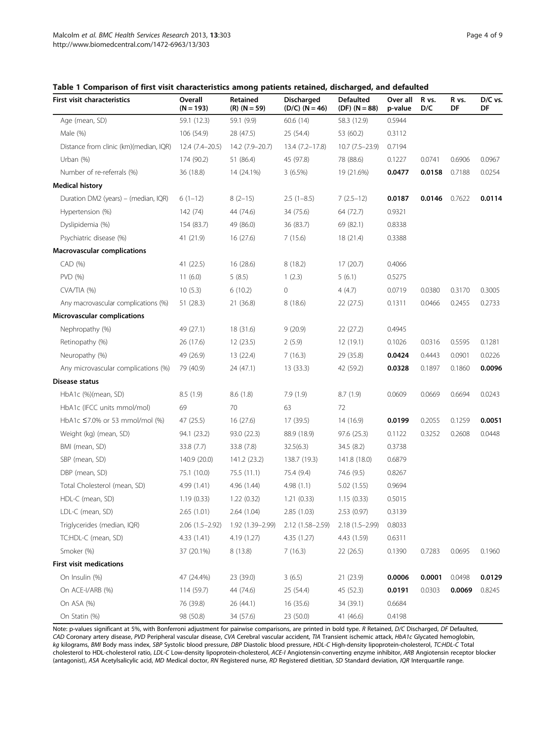<span id="page-3-0"></span>

| First visit characteristics            | Overall<br>$(N = 193)$ | Retained<br>$(R)$ $(N = 59)$ | <b>Discharged</b><br>$(D/C)$ (N = 46) | Defaulted<br>$(DF) (N = 88)$ | Over all<br>p-value | R vs.<br>D/C    | R vs.<br>DF | D/C vs.<br>DF |
|----------------------------------------|------------------------|------------------------------|---------------------------------------|------------------------------|---------------------|-----------------|-------------|---------------|
| Age (mean, SD)                         | 59.1 (12.3)            | 59.1 (9.9)                   | 60.6(14)                              | 58.3 (12.9)                  | 0.5944              |                 |             |               |
| Male (%)                               | 106 (54.9)             | 28 (47.5)                    | 25 (54.4)                             | 53 (60.2)                    | 0.3112              |                 |             |               |
| Distance from clinic (km)(median, IQR) | 12.4 (7.4-20.5)        | 14.2 (7.9-20.7)              | $13.4(7.2-17.8)$                      | $10.7(7.5-23.9)$             | 0.7194              |                 |             |               |
| Urban (%)                              | 174 (90.2)             | 51 (86.4)                    | 45 (97.8)                             | 78 (88.6)                    | 0.1227              | 0.0741          | 0.6906      | 0.0967        |
| Number of re-referrals (%)             | 36 (18.8)              | 14 (24.1%)                   | 3(6.5%)                               | 19 (21.6%)                   | 0.0477              | 0.0158          | 0.7188      | 0.0254        |
| <b>Medical history</b>                 |                        |                              |                                       |                              |                     |                 |             |               |
| Duration DM2 (years) – (median, IQR)   | $6(1-12)$              | $8(2-15)$                    | $2.5(1-8.5)$                          | $7(2.5-12)$                  | 0.0187              | $0.0146$ 0.7622 |             | 0.0114        |
| Hypertension (%)                       | 142 (74)               | 44 (74.6)                    | 34 (75.6)                             | 64 (72.7)                    | 0.9321              |                 |             |               |
| Dyslipidemia (%)                       | 154 (83.7)             | 49 (86.0)                    | 36 (83.7)                             | 69 (82.1)                    | 0.8338              |                 |             |               |
| Psychiatric disease (%)                | 41 (21.9)              | 16(27.6)                     | 7(15.6)                               | 18(21.4)                     | 0.3388              |                 |             |               |
| <b>Macrovascular complications</b>     |                        |                              |                                       |                              |                     |                 |             |               |
| CAD (%)                                | 41 (22.5)              | 16(28.6)                     | 8(18.2)                               | 17(20.7)                     | 0.4066              |                 |             |               |
| PVD (%)                                | 11(6.0)                | 5(8.5)                       | 1(2.3)                                | 5(6.1)                       | 0.5275              |                 |             |               |
| $CVA/TIA$ $(%)$                        | 10(5.3)                | 6(10.2)                      | 0                                     | 4(4.7)                       | 0.0719              | 0.0380          | 0.3170      | 0.3005        |
| Any macrovascular complications (%)    | 51 (28.3)              | 21 (36.8)                    | 8(18.6)                               | 22 (27.5)                    | 0.1311              | 0.0466          | 0.2455      | 0.2733        |
| Microvascular complications            |                        |                              |                                       |                              |                     |                 |             |               |
| Nephropathy (%)                        | 49 (27.1)              | 18 (31.6)                    | 9(20.9)                               | 22 (27.2)                    | 0.4945              |                 |             |               |
| Retinopathy (%)                        | 26 (17.6)              | 12(23.5)                     | 2(5.9)                                | 12(19.1)                     | 0.1026              | 0.0316          | 0.5595      | 0.1281        |
| Neuropathy (%)                         | 49 (26.9)              | 13 (22.4)                    | 7 (16.3)                              | 29 (35.8)                    | 0.0424              | 0.4443          | 0.0901      | 0.0226        |
| Any microvascular complications (%)    | 79 (40.9)              | 24 (47.1)                    | 13(33.3)                              | 42 (59.2)                    | 0.0328              | 0.1897          | 0.1860      | 0.0096        |
| Disease status                         |                        |                              |                                       |                              |                     |                 |             |               |
| HbA1c (%)(mean, SD)                    | 8.5(1.9)               | 8.6(1.8)                     | 7.9(1.9)                              | 8.7(1.9)                     | 0.0609              | 0.0669          | 0.6694      | 0.0243        |
| HbA1c (IFCC units mmol/mol)            | 69                     | 70                           | 63                                    | 72                           |                     |                 |             |               |
| HbA1c ≤7.0% or 53 mmol/mol (%)         | 47 (25.5)              | 16(27.6)                     | 17 (39.5)                             | 14 (16.9)                    | 0.0199              | 0.2055          | 0.1259      | 0.0051        |
| Weight (kg) (mean, SD)                 | 94.1 (23.2)            | 93.0(22.3)                   | 88.9 (18.9)                           | 97.6(25.3)                   | 0.1122              | 0.3252          | 0.2608      | 0.0448        |
| BMI (mean, SD)                         | 33.8 (7.7)             | 33.8 (7.8)                   | 32.5(6.3)                             | 34.5 (8.2)                   | 0.3738              |                 |             |               |
| SBP (mean, SD)                         | 140.9 (20.0)           | 141.2 (23.2)                 | 138.7 (19.3)                          | 141.8 (18.0)                 | 0.6879              |                 |             |               |
| DBP (mean, SD)                         | 75.1 (10.0)            | 75.5 (11.1)                  | 75.4 (9.4)                            | 74.6 (9.5)                   | 0.8267              |                 |             |               |
| Total Cholesterol (mean, SD)           | 4.99(1.41)             | 4.96 (1.44)                  | 4.98(1.1)                             | 5.02(1.55)                   | 0.9694              |                 |             |               |
| HDL-C (mean, SD)                       | 1.19(0.33)             | 1.22(0.32)                   | 1.21(0.33)                            | 1.15(0.33)                   | 0.5015              |                 |             |               |
| LDL-C (mean, SD)                       | 2.65 (1.01)            | 2.64 (1.04)                  | 2.85 (1.03)                           | 2.53 (0.97)                  | 0.3139              |                 |             |               |
| Triglycerides (median, IQR)            | $2.06(1.5-2.92)$       | 1.92 (1.39-2.99)             | 2.12 (1.58-2.59)                      | 2.18 (1.5-2.99)              | 0.8033              |                 |             |               |
| TC:HDL-C (mean, SD)                    | 4.33 (1.41)            | 4.19 (1.27)                  | 4.35 (1.27)                           | 4.43 (1.59)                  | 0.6311              |                 |             |               |
| Smoker (%)                             | 37 (20.1%)             | 8(13.8)                      | 7 (16.3)                              | 22(26.5)                     | 0.1390              | 0.7283          | 0.0695      | 0.1960        |
| <b>First visit medications</b>         |                        |                              |                                       |                              |                     |                 |             |               |
| On Insulin (%)                         | 47 (24.4%)             | 23 (39.0)                    | 3(6.5)                                | 21 (23.9)                    | 0.0006              | 0.0001          | 0.0498      | 0.0129        |
| On ACE-I/ARB (%)                       | 114 (59.7)             | 44 (74.6)                    | 25 (54.4)                             | 45 (52.3)                    | 0.0191              | 0.0303          | 0.0069      | 0.8245        |
| On ASA (%)                             | 76 (39.8)              | 26 (44.1)                    | 16 (35.6)                             | 34 (39.1)                    | 0.6684              |                 |             |               |
| On Statin (%)                          | 98 (50.8)              | 34 (57.6)                    | 23 (50.0)                             | 41 (46.6)                    | 0.4198              |                 |             |               |

Note: p-values significant at 5%, with Bonferroni adjustment for pairwise comparisons, are printed in bold type. R Retained, D/C Discharged, DF Defaulted, CAD Coronary artery disease, PVD Peripheral vascular disease, CVA C CAD Coronary artery disease, PVD Peripheral vascular disease, CVA Cerebral vascular accident, TIA Transient ischemic attack, HbA1c Glycated hemoglobin,<br>ka kilograms, RMLBody mass index. SRP Systolic blood pressure. DRP Dia kg kilograms, BMI Body mass index, SBP Systolic blood pressure, DBP Diastolic blood pressure, HDL-C High-density lipoprotein-cholesterol, TC:HDL-C Total<br>cholesterol to HDL-cholesterol ratio JDL-C Lour-density lipoprotein-c cholesterol to HDL-cholesterol ratio, LDL-C Low-density lipoprotein-cholesterol, ACE-I Angiotensin-converting enzyme inhibitor, ARB Angiotensin receptor blocker (antagonist), ASA Acetylsalicylic acid, MD Medical doctor, RN Registered nurse, RD Registered dietitian, SD Standard deviation, IQR Interquartile range.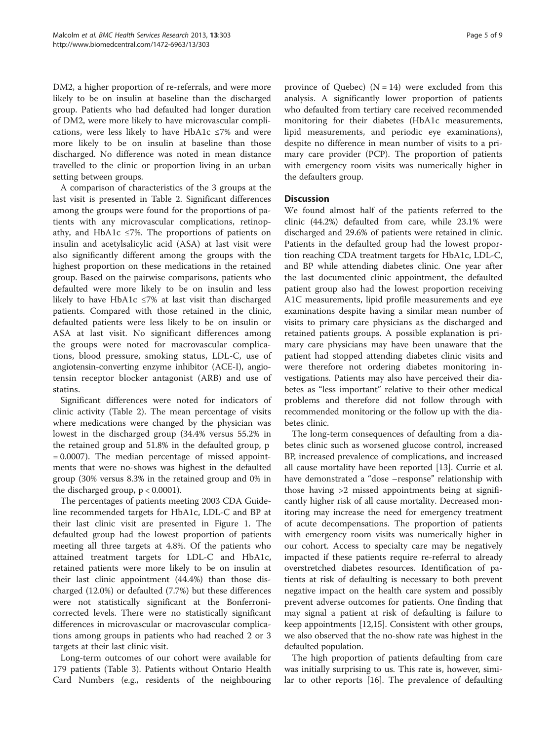DM2, a higher proportion of re-referrals, and were more likely to be on insulin at baseline than the discharged group. Patients who had defaulted had longer duration of DM2, were more likely to have microvascular complications, were less likely to have HbA1c ≤7% and were more likely to be on insulin at baseline than those discharged. No difference was noted in mean distance travelled to the clinic or proportion living in an urban setting between groups.

A comparison of characteristics of the 3 groups at the last visit is presented in Table [2](#page-5-0). Significant differences among the groups were found for the proportions of patients with any microvascular complications, retinopathy, and HbA1c  $\leq$ 7%. The proportions of patients on insulin and acetylsalicylic acid (ASA) at last visit were also significantly different among the groups with the highest proportion on these medications in the retained group. Based on the pairwise comparisons, patients who defaulted were more likely to be on insulin and less likely to have HbA1c ≤7% at last visit than discharged patients. Compared with those retained in the clinic, defaulted patients were less likely to be on insulin or ASA at last visit. No significant differences among the groups were noted for macrovascular complications, blood pressure, smoking status, LDL-C, use of angiotensin-converting enzyme inhibitor (ACE-I), angiotensin receptor blocker antagonist (ARB) and use of statins.

Significant differences were noted for indicators of clinic activity (Table [2](#page-5-0)). The mean percentage of visits where medications were changed by the physician was lowest in the discharged group (34.4% versus 55.2% in the retained group and 51.8% in the defaulted group, p  $= 0.0007$ ). The median percentage of missed appointments that were no-shows was highest in the defaulted group (30% versus 8.3% in the retained group and 0% in the discharged group,  $p < 0.0001$ ).

The percentages of patients meeting 2003 CDA Guideline recommended targets for HbA1c, LDL-C and BP at their last clinic visit are presented in Figure [1](#page-6-0). The defaulted group had the lowest proportion of patients meeting all three targets at 4.8%. Of the patients who attained treatment targets for LDL-C and HbA1c, retained patients were more likely to be on insulin at their last clinic appointment (44.4%) than those discharged (12.0%) or defaulted (7.7%) but these differences were not statistically significant at the Bonferronicorrected levels. There were no statistically significant differences in microvascular or macrovascular complications among groups in patients who had reached 2 or 3 targets at their last clinic visit.

Long-term outcomes of our cohort were available for 179 patients (Table [3\)](#page-6-0). Patients without Ontario Health Card Numbers (e.g., residents of the neighbouring

province of Quebec)  $(N = 14)$  were excluded from this analysis. A significantly lower proportion of patients who defaulted from tertiary care received recommended monitoring for their diabetes (HbA1c measurements, lipid measurements, and periodic eye examinations), despite no difference in mean number of visits to a primary care provider (PCP). The proportion of patients with emergency room visits was numerically higher in the defaulters group.

## **Discussion**

We found almost half of the patients referred to the clinic (44.2%) defaulted from care, while 23.1% were discharged and 29.6% of patients were retained in clinic. Patients in the defaulted group had the lowest proportion reaching CDA treatment targets for HbA1c, LDL-C, and BP while attending diabetes clinic. One year after the last documented clinic appointment, the defaulted patient group also had the lowest proportion receiving A1C measurements, lipid profile measurements and eye examinations despite having a similar mean number of visits to primary care physicians as the discharged and retained patients groups. A possible explanation is primary care physicians may have been unaware that the patient had stopped attending diabetes clinic visits and were therefore not ordering diabetes monitoring investigations. Patients may also have perceived their diabetes as "less important" relative to their other medical problems and therefore did not follow through with recommended monitoring or the follow up with the diabetes clinic.

The long-term consequences of defaulting from a diabetes clinic such as worsened glucose control, increased BP, increased prevalence of complications, and increased all cause mortality have been reported [\[13\]](#page-7-0). Currie et al. have demonstrated a "dose –response" relationship with those having >2 missed appointments being at significantly higher risk of all cause mortality. Decreased monitoring may increase the need for emergency treatment of acute decompensations. The proportion of patients with emergency room visits was numerically higher in our cohort. Access to specialty care may be negatively impacted if these patients require re-referral to already overstretched diabetes resources. Identification of patients at risk of defaulting is necessary to both prevent negative impact on the health care system and possibly prevent adverse outcomes for patients. One finding that may signal a patient at risk of defaulting is failure to keep appointments [\[12,15](#page-7-0)]. Consistent with other groups, we also observed that the no-show rate was highest in the defaulted population.

The high proportion of patients defaulting from care was initially surprising to us. This rate is, however, similar to other reports [\[16](#page-7-0)]. The prevalence of defaulting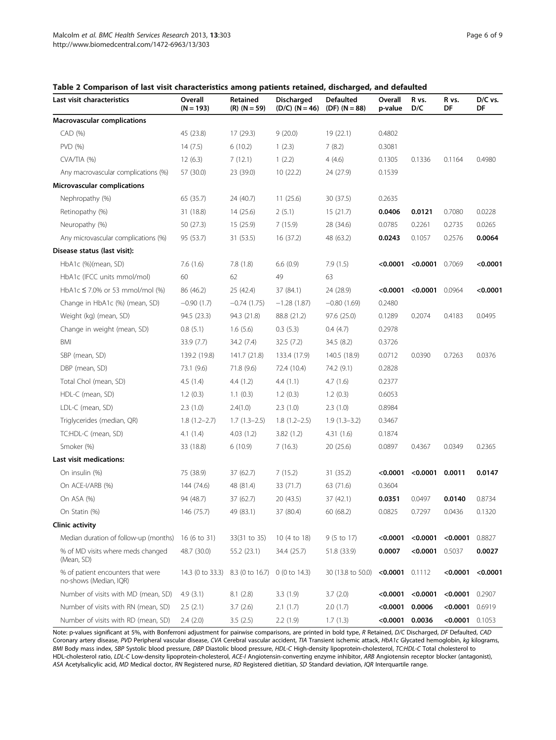<span id="page-5-0"></span>

| Last visit characteristics                                  | Overall<br>$(N = 193)$ | Retained<br>$(R)$ (N = 59) | <b>Discharged</b><br>$(D/C)$ $(N = 46)$ | <b>Defaulted</b><br>$(DF)$ (N = 88) | Overall<br>p-value | R vs.<br>D/C      | R vs.<br>DF      | D/C vs.<br>DF |
|-------------------------------------------------------------|------------------------|----------------------------|-----------------------------------------|-------------------------------------|--------------------|-------------------|------------------|---------------|
| <b>Macrovascular complications</b>                          |                        |                            |                                         |                                     |                    |                   |                  |               |
| CAD (%)                                                     | 45 (23.8)              | 17 (29.3)                  | 9(20.0)                                 | 19(22.1)                            | 0.4802             |                   |                  |               |
| PVD (%)                                                     | 14(7.5)                | 6(10.2)                    | 1(2.3)                                  | 7(8.2)                              | 0.3081             |                   |                  |               |
| $CVA/TIA$ (%)                                               | 12(6.3)                | 7(12.1)                    | 1(2.2)                                  | 4(4.6)                              | 0.1305             | 0.1336            | 0.1164           | 0.4980        |
| Any macrovascular complications (%)                         | 57 (30.0)              | 23 (39.0)                  | 10(22.2)                                | 24 (27.9)                           | 0.1539             |                   |                  |               |
| <b>Microvascular complications</b>                          |                        |                            |                                         |                                     |                    |                   |                  |               |
| Nephropathy (%)                                             | 65 (35.7)              | 24 (40.7)                  | 11(25.6)                                | 30 (37.5)                           | 0.2635             |                   |                  |               |
| Retinopathy (%)                                             | 31 (18.8)              | 14(25.6)                   | 2(5.1)                                  | 15(21.7)                            | 0.0406             | 0.0121            | 0.7080           | 0.0228        |
| Neuropathy (%)                                              | 50 (27.3)              | 15(25.9)                   | 7(15.9)                                 | 28 (34.6)                           | 0.0785             | 0.2261            | 0.2735           | 0.0265        |
| Any microvascular complications (%)                         | 95 (53.7)              | 31 (53.5)                  | 16 (37.2)                               | 48 (63.2)                           | 0.0243             | 0.1057            | 0.2576           | 0.0064        |
| Disease status (last visit):                                |                        |                            |                                         |                                     |                    |                   |                  |               |
| HbA1c (%)(mean, SD)                                         | 7.6(1.6)               | 7.8(1.8)                   | 6.6(0.9)                                | 7.9(1.5)                            | < 0.0001           | $< 0.0001$ 0.7069 |                  | < 0.0001      |
| HbA1c (IFCC units mmol/mol)                                 | 60                     | 62                         | 49                                      | 63                                  |                    |                   |                  |               |
| HbA1c ≤ 7.0% or 53 mmol/mol $%$                             | 86 (46.2)              | 25 (42.4)                  | 37 (84.1)                               | 24 (28.9)                           | < 0.0001           | $< 0.0001$ 0.0964 |                  | < 0.0001      |
| Change in HbA1c (%) (mean, SD)                              | $-0.90(1.7)$           | $-0.74(1.75)$              | $-1.28(1.87)$                           | $-0.80(1.69)$                       | 0.2480             |                   |                  |               |
| Weight (kg) (mean, SD)                                      | 94.5 (23.3)            | 94.3 (21.8)                | 88.8 (21.2)                             | 97.6(25.0)                          | 0.1289             | 0.2074            | 0.4183           | 0.0495        |
| Change in weight (mean, SD)                                 | 0.8(5.1)               | 1.6(5.6)                   | 0.3(5.3)                                | 0.4(4.7)                            | 0.2978             |                   |                  |               |
| BMI                                                         | 33.9(7.7)              | 34.2 (7.4)                 | 32.5(7.2)                               | 34.5 (8.2)                          | 0.3726             |                   |                  |               |
| SBP (mean, SD)                                              | 139.2 (19.8)           | 141.7 (21.8)               | 133.4 (17.9)                            | 140.5 (18.9)                        | 0.0712             | 0.0390            | 0.7263           | 0.0376        |
| DBP (mean, SD)                                              | 73.1 (9.6)             | 71.8 (9.6)                 | 72.4 (10.4)                             | 74.2 (9.1)                          | 0.2828             |                   |                  |               |
| Total Chol (mean, SD)                                       | 4.5(1.4)               | 4.4 (1.2)                  | 4.4(1.1)                                | 4.7(1.6)                            | 0.2377             |                   |                  |               |
| HDL-C (mean, SD)                                            | 1.2(0.3)               | 1.1(0.3)                   | 1.2(0.3)                                | 1.2(0.3)                            | 0.6053             |                   |                  |               |
| LDL-C (mean, SD)                                            | 2.3(1.0)               | 2.4(1.0)                   | 2.3(1.0)                                | 2.3(1.0)                            | 0.8984             |                   |                  |               |
| Triglycerides (median, QR)                                  | $1.8(1.2 - 2.7)$       | $1.7(1.3-2.5)$             | $1.8(1.2-2.5)$                          | $1.9(1.3-3.2)$                      | 0.3467             |                   |                  |               |
| TC:HDL-C (mean, SD)                                         | 4.1(1.4)               | 4.03(1.2)                  | 3.82(1.2)                               | 4.31(1.6)                           | 0.1874             |                   |                  |               |
| Smoker (%)                                                  | 33 (18.8)              | 6(10.9)                    | 7(16.3)                                 | 20 (25.6)                           | 0.0897             | 0.4367            | 0.0349           | 0.2365        |
| Last visit medications:                                     |                        |                            |                                         |                                     |                    |                   |                  |               |
| On insulin (%)                                              | 75 (38.9)              | 37 (62.7)                  | 7(15.2)                                 | 31(35.2)                            | < 0.0001           | < 0.0001          | 0.0011           | 0.0147        |
| On ACE-I/ARB (%)                                            | 144 (74.6)             | 48 (81.4)                  | 33 (71.7)                               | 63 (71.6)                           | 0.3604             |                   |                  |               |
| On ASA (%)                                                  | 94 (48.7)              | 37 (62.7)                  | 20 (43.5)                               | 37 (42.1)                           | 0.0351             | 0.0497            | 0.0140           | 0.8734        |
| On Statin (%)                                               | 146 (75.7)             | 49 (83.1)                  | 37 (80.4)                               | 60 (68.2)                           | 0.0825             | 0.7297            | 0.0436           | 0.1320        |
| <b>Clinic activity</b>                                      |                        |                            |                                         |                                     |                    |                   |                  |               |
| Median duration of follow-up (months)                       | 16 (6 to 31)           | 33(31 to 35)               | 10 (4 to 18)                            | $9(5 \text{ to } 17)$               | < 0.0001           | < 0.0001          | < 0.0001         | 0.8827        |
| % of MD visits where meds changed<br>(Mean, SD)             | 48.7 (30.0)            | 55.2 (23.1)                | 34.4 (25.7)                             | 51.8 (33.9)                         | 0.0007             | < 0.0001          | 0.5037           | 0.0027        |
| % of patient encounters that were<br>no-shows (Median, IQR) | 14.3 (0 to 33.3)       | 8.3 (0 to 16.7)            | 0(0 to 14.3)                            | 30 (13.8 to 50.0)                   | < 0.0001           | 0.1112            | < 0.0001         | < 0.0001      |
| Number of visits with MD (mean, SD)                         | 4.9(3.1)               | 8.1(2.8)                   | 3.3(1.9)                                | 3.7(2.0)                            | < 0.0001           | < 0.0001          | < 0.0001         | 0.2907        |
| Number of visits with RN (mean, SD)                         | 2.5(2.1)               | 3.7(2.6)                   | 2.1(1.7)                                | 2.0(1.7)                            | < 0.0001           | 0.0006            | < 0.0001         | 0.6919        |
| Number of visits with RD (mean, SD)                         | 2.4(2.0)               | 3.5(2.5)                   | 2.2(1.9)                                | 1.7(1.3)                            | $< 0.0001$ 0.0036  |                   | $<0.0001$ 0.1053 |               |

Note: p-values significant at 5%, with Bonferroni adjustment for pairwise comparisons, are printed in bold type, R Retained, D/C Discharged, DF Defaulted, CAD Coronary artery disease, PVD Peripheral vascular disease, CVA Cerebral vascular accident, TIA Transient ischemic attack, HbA1c Glycated hemoglobin, kg kilograms, BMI Body mass index, SBP Systolic blood pressure, DBP Diasto BMI Body mass index, SBP Systolic blood pressure, DBP Diastolic blood pressure, HDL-C High-density lipoprotein-cholesterol, TC:HDL-C Total cholesterol to<br>HDL-cholesterol ratio JDL-C Low-density lipoprotein-cholesterol. ACE HDL-cholesterol ratio, LDL-C Low-density lipoprotein-cholesterol, ACE-I Angiotensin-converting enzyme inhibitor, ARB Angiotensin receptor blocker (antagonist),<br>454 Acetylsalicylic acid. MD Medical doctor, RN Begistered nur ASA Acetylsalicylic acid, MD Medical doctor, RN Registered nurse, RD Registered dietitian, SD Standard deviation, IQR Interquartile range.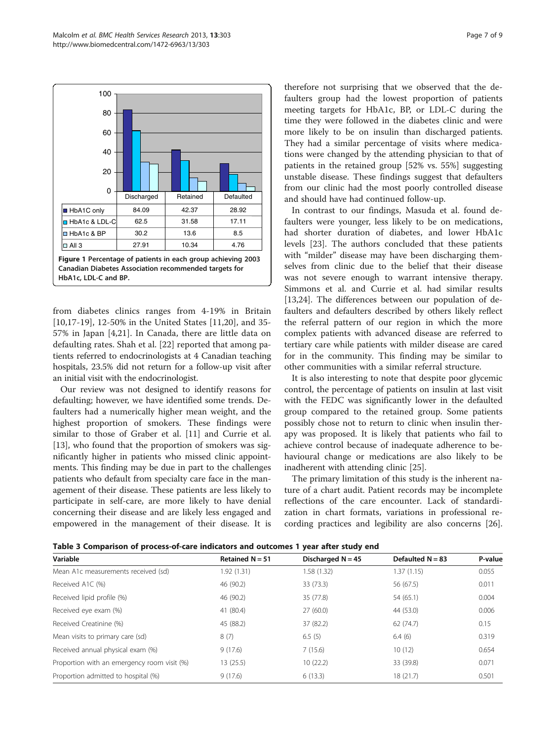<span id="page-6-0"></span>

from diabetes clinics ranges from 4-19% in Britain [[10,17](#page-7-0)-[19\]](#page-7-0), 12-50% in the United States [[11,20](#page-7-0)], and 35- 57% in Japan [[4,21](#page-7-0)]. In Canada, there are little data on defaulting rates. Shah et al. [[22\]](#page-7-0) reported that among patients referred to endocrinologists at 4 Canadian teaching hospitals, 23.5% did not return for a follow-up visit after an initial visit with the endocrinologist.

Our review was not designed to identify reasons for defaulting; however, we have identified some trends. Defaulters had a numerically higher mean weight, and the highest proportion of smokers. These findings were similar to those of Graber et al. [[11\]](#page-7-0) and Currie et al. [[13\]](#page-7-0), who found that the proportion of smokers was significantly higher in patients who missed clinic appointments. This finding may be due in part to the challenges patients who default from specialty care face in the management of their disease. These patients are less likely to participate in self-care, are more likely to have denial concerning their disease and are likely less engaged and empowered in the management of their disease. It is

therefore not surprising that we observed that the defaulters group had the lowest proportion of patients meeting targets for HbA1c, BP, or LDL-C during the time they were followed in the diabetes clinic and were more likely to be on insulin than discharged patients. They had a similar percentage of visits where medications were changed by the attending physician to that of patients in the retained group [52% vs. 55%] suggesting unstable disease. These findings suggest that defaulters from our clinic had the most poorly controlled disease and should have had continued follow-up.

In contrast to our findings, Masuda et al. found defaulters were younger, less likely to be on medications, had shorter duration of diabetes, and lower HbA1c levels [\[23\]](#page-7-0). The authors concluded that these patients with "milder" disease may have been discharging themselves from clinic due to the belief that their disease was not severe enough to warrant intensive therapy. Simmons et al. and Currie et al. had similar results [[13,24\]](#page-7-0). The differences between our population of defaulters and defaulters described by others likely reflect the referral pattern of our region in which the more complex patients with advanced disease are referred to tertiary care while patients with milder disease are cared for in the community. This finding may be similar to other communities with a similar referral structure.

It is also interesting to note that despite poor glycemic control, the percentage of patients on insulin at last visit with the FEDC was significantly lower in the defaulted group compared to the retained group. Some patients possibly chose not to return to clinic when insulin therapy was proposed. It is likely that patients who fail to achieve control because of inadequate adherence to behavioural change or medications are also likely to be inadherent with attending clinic [[25\]](#page-8-0).

The primary limitation of this study is the inherent nature of a chart audit. Patient records may be incomplete reflections of the care encounter. Lack of standardization in chart formats, variations in professional recording practices and legibility are also concerns [\[26](#page-8-0)].

|  | Table 3 Comparison of process-of-care indicators and outcomes 1 year after study end |  |  |
|--|--------------------------------------------------------------------------------------|--|--|
|--|--------------------------------------------------------------------------------------|--|--|

| Variable                                    | Retained $N = 51$ | Discharged $N = 45$ | Defaulted $N = 83$ | P-value |  |  |
|---------------------------------------------|-------------------|---------------------|--------------------|---------|--|--|
| Mean A1c measurements received (sd)         | 1.92 (1.31)       | 1.58(1.32)          | 1.37(1.15)         | 0.055   |  |  |
| Received A1C (%)                            | 46 (90.2)         | 33 (73.3)           | 56 (67.5)          | 0.011   |  |  |
| Received lipid profile (%)                  | 46 (90.2)         | 35 (77.8)           | 54 (65.1)          | 0.004   |  |  |
| Received eye exam (%)                       | 41 (80.4)         | 27(60.0)            | 44 (53.0)          | 0.006   |  |  |
| Received Creatinine (%)                     | 45 (88.2)         | 37 (82.2)           | 62(74.7)           | 0.15    |  |  |
| Mean visits to primary care (sd)            | 8(7)              | 6.5(5)              | 6.4(6)             | 0.319   |  |  |
| Received annual physical exam (%)           | 9(17.6)           | 7(15.6)             | 10(12)             | 0.654   |  |  |
| Proportion with an emergency room visit (%) | 13 (25.5)         | 10(22.2)            | 33 (39.8)          | 0.071   |  |  |
| Proportion admitted to hospital (%)         | 9(17.6)           | 6(13.3)             | 18(21.7)           | 0.501   |  |  |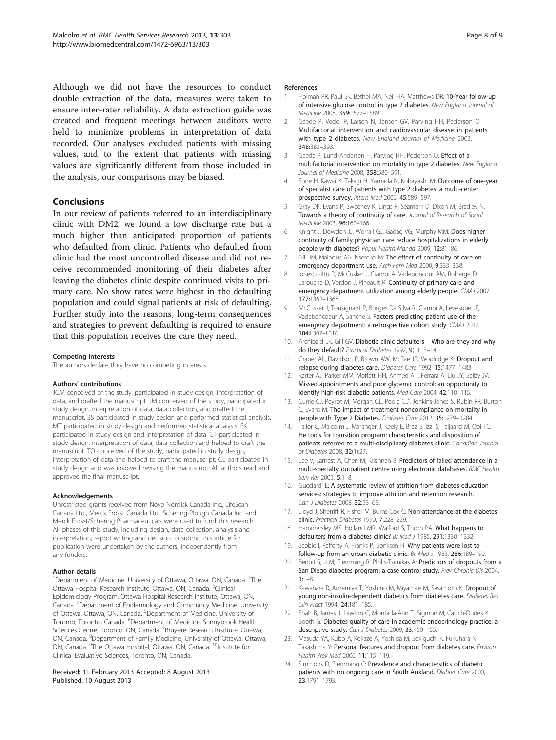<span id="page-7-0"></span>Although we did not have the resources to conduct double extraction of the data, measures were taken to ensure inter-rater reliability. A data extraction guide was created and frequent meetings between auditors were held to minimize problems in interpretation of data recorded. Our analyses excluded patients with missing values, and to the extent that patients with missing values are significantly different from those included in the analysis, our comparisons may be biased.

## Conclusions

In our review of patients referred to an interdisciplinary clinic with DM2, we found a low discharge rate but a much higher than anticipated proportion of patients who defaulted from clinic. Patients who defaulted from clinic had the most uncontrolled disease and did not receive recommended monitoring of their diabetes after leaving the diabetes clinic despite continued visits to primary care. No show rates were highest in the defaulting population and could signal patients at risk of defaulting. Further study into the reasons, long-term consequences and strategies to prevent defaulting is required to ensure that this population receives the care they need.

#### Competing interests

The authors declare they have no competing interests.

#### Authors' contributions

JCM conceived of the study, participated in study design, interpretation of data, and drafted the manuscript. JM conceived of the study, participated in study design, interpretation of data, data collection, and drafted the manuscript. BS participated in study design and performed statistical analysis. MT participated in study design and performed statistical analysis. EK participated in study design and interpretation of data. CT participated in study design, interpretation of data, data collection and helped to draft the manuscript. TO conceived of the study, participated in study design, interpretation of data and helped to draft the manuscript. CL participated in study design and was involved revising the manuscript. All authors read and approved the final manuscript.

#### Acknowledgements

Unrestricted grants received from Novo Nordisk Canada Inc., LifeScan Canada Ltd., Merck Frosst Canada Ltd., Schering-Plough Canada Inc. and Merck Frosst/Schering Pharmaceuticals were used to fund this research. All phases of this study, including design, data collection, analysis and interpretation, report writing and decision to submit this article for publication were undertaken by the authors, independently from any funders.

#### Author details

<sup>1</sup>Department of Medicine, University of Ottawa, Ottawa, ON, Canada. <sup>2</sup>The Ottawa Hospital Research Institute, Ottawa, ON, Canada. <sup>3</sup>Clinical Epidemiology Program, Ottawa Hospital Research institute, Ottawa, ON, Canada. <sup>4</sup> Department of Epidemiology and Community Medicine, University of Ottawa, Ottawa, ON, Canada. <sup>5</sup>Department of Medicine, University of Toronto, Toronto, Canada. <sup>6</sup>Department of Medicine, Sunnybrook Health Sciences Centre, Toronto, ON, Canada. <sup>7</sup>Bruyere Research Institute, Ottawa, ON, Canada. <sup>8</sup>Department of Family Medicine, University of Ottawa, Ottawa, ON, Canada. <sup>9</sup>The Ottawa Hospital, Ottawa, ON, Canada. <sup>10</sup>Institute for Clinical Evaluative Sciences, Toronto, ON, Canada.

#### Received: 11 February 2013 Accepted: 8 August 2013 Published: 10 August 2013

#### References

- 1. Holman RR, Paul SK, Bethel MA, Neil HA, Matthews DR: 10-Year follow-up of intensive glucose control in type 2 diabetes. New England Journal of Medicine 2008, 359:1577–1589.
- Gaede P, Vedel P, Larsen N, Jensen GV, Parving HH, Pederson O: Multifactorial intervention and cardiovascular disease in patients with type 2 diabetes. New England Journal of Medicine 2003, 348:383–393.
- 3. Gaede P, Lund-Andersen H, Parving HH, Pederson O: Effect of a multifactorial intervention on mortality in type 2 diabetes. New England Journal of Medicine 2008, 358:580-591.
- 4. Sone H, Kawai K, Takagi H, Yamada N, Kobayashi M: **Outcome of one-year** of specialist care of patients with type 2 diabetes: a multi-center prospective survey. Intern Med 2006, 45:589–597.
- 5. Gray DP, Evans P, Sweeney K, Lings P, Seamark D, Dixon M, Bradley N: Towards a theory of continuity of care. Journal of Research of Social Medicine 2003, 96:160–166.
- 6. Knight J, Dowden JJ, Worrall GJ, Gadag VG, Murphy MM: Does higher continuity of family physician care reduce hospitalizations in elderly people with diabetes? Popul Health Manag 2009, 12:81–86.
- 7. Gill JM, Mainous AG, Nsereko M: The effect of continuity of care on emergency department use. Arch Fam Med 2000, 9:333–338.
- 8. Ionescu-Ittu R, McCusker J, Ciampi A, Vadeboncour AM, Roberge D, Larouche D, Verdon J, Pineault R: Continuity of primary care and emergency department utilization among elderly people. CMAJ 2007, 177:1362–1368.
- 9. McCusker J, Tousignant P, Borges Da Silva R, Ciampi A, Levesque JF, Vadeboncoeur A, Sanche S: Factors predicting patient use of the emergency department: a retrospective cohort study. CMAJ 2012, 184:E307–E316.
- 10. Archibald LK, Gill GV: Diabetic clinic defaulters Who are they and why do they default? Practical Diabetes 1992, 9(1):13–14.
- 11. Graber AL, Davidson P, Brown AW, McRae JR, Woolridge K: Dropout and relapse during diabetes care. Diabetes Care 1992, 15:1477–1483.
- 12. Karter AJ, Parker MM, Moffett HH, Ahmed AT, Ferrara A, Liu JY, Selby JV: Missed appointments and poor glycemic control: an opportunity to identify high-risk diabetic patients. Med Care 2004, 42:110–115.
- 13. Currie CJ, Peyrot M, Morgan CL, Poole CD, Jenkins-Jones S, Rubin RR, Burton C, Evans M: The impact of treatment noncompliance on mortality in people with Type 2 Diabetes. Diabetes Care 2012, 35:1279–1284.
- 14. Tailor C, Malcolm J, Maranger J, Keely E, Brez S, Izzi S, Taljaard M, Ooi TC: He tools for transition program: characteristics and disposition of patients referred to a multi-disciplinary diabetes clinic. Canadian Journal of Diabetes 2008, 32(1):27.
- 15. Lee V, Earnest A, Chen M, Krishnan B: Predictors of failed attendance in a multi-specialty outpatient centre using electronic databases. BMC Health Serv Res 2005, 5:1–8.
- 16. Gucciardi E: A systematic review of attrition from diabetes education services: strategies to improve attrition and retention research. Can J Diabetes 2008, 32:53-65.
- 17. Lloyd J, Sherriff R, Fisher M, Burns-Cox C: Non-attendance at the diabetes clinic. Practical Diabetes 1990, 7:228–229.
- 18. Hammersley MS, Holland MR, Walford S, Thorn PA: What happens to defaulters from a diabetes clinic? Br Med J 1985, 291:1330-1332.
- 19. Scobie I, Rafferty A, Franks P, Sonksen H: Why patients were lost to follow-up from an urban diabetic clinic. Br Med J 1983, 286:189–190.
- 20. Benoit S, Ji M, Flemming R, Philis-Tsimikas A: Predictors of dropouts from a San Diego diabetes program: a case control study. Prev Chronic Dis 2004, 1:1–8.
- 21. Kawahara R, Amemiya T, Yoshino M, Miyamae M, Sasamoto K: Dropout of young non-insulin-dependent diabetics from diabetes care. Diabetes Res Clin Pract 1994, 24:181–185.
- 22. Shah B, James J, Lawton C, Montada-Atin T, Sigmon M, Cauch-Dudek K, Booth G: Diabetes quality of care in academic endocrinology practice: a descriptive study. Can J Diabetes 2009, 33:150-155.
- 23. Masuda YA, Kubo A, Kokaze A, Yoshida M, Sekiguchi K, Fukuhara N, Takashima Y: Personal features and dropout from diabetes care. Environ Health Prev Med 2006, 11:115–119.
- 24. Simmons D, Flemming C: Prevalence and charactersitics of diabetic patients with no ongoing care in South Aukland. Diabtes Care 2000, 23:1791–1793.